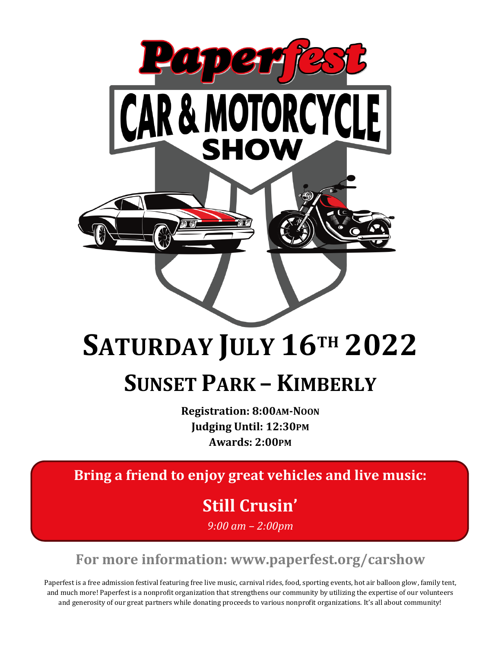

## **SATURDAY JULY 16TH 2022**

### **SUNSET PARK – KIMBERLY**

**Registration: 8:00AM-NOON Judging Until: 12:30PM Awards: 2:00PM**

**Bring a friend to enjoy great vehicles and live music:**

**Still Crusin'**

*9:00 am – 2:00pm*

**For more information: www.paperfest.org/carshow**

Paperfest is a free admission festival featuring free live music, carnival rides, food, sporting events, hot air balloon glow, family tent, and much more! Paperfest is a nonprofit organization that strengthens our community by utilizing the expertise of our volunteers and generosity of our great partners while donating proceeds to various nonprofit organizations. It's all about community!